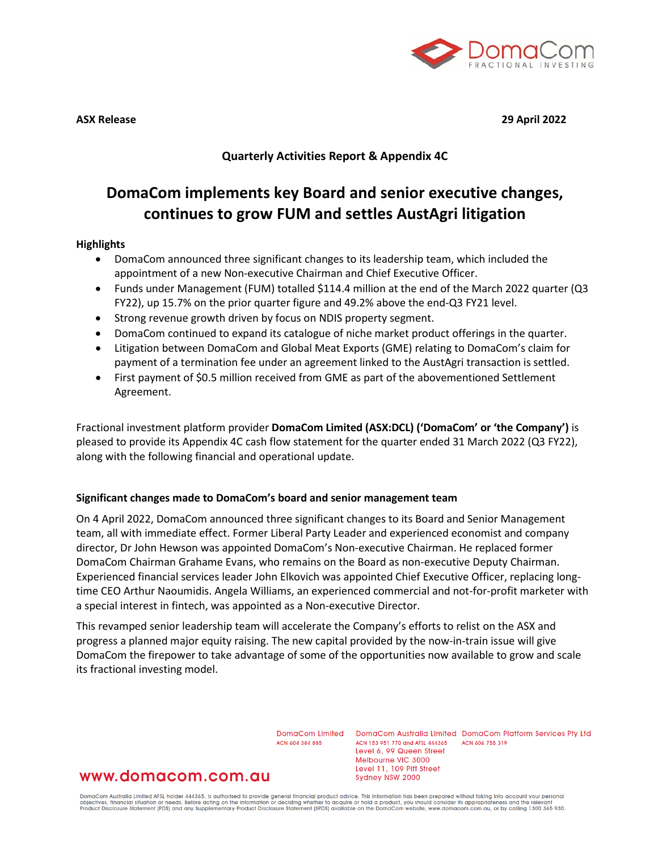

**ASX Release 29 April 2022**

**Quarterly Activities Report & Appendix 4C**

# **DomaCom implements key Board and senior executive changes, continues to grow FUM and settles AustAgri litigation**

## **Highlights**

- DomaCom announced three significant changes to its leadership team, which included the appointment of a new Non-executive Chairman and Chief Executive Officer.
- Funds under Management (FUM) totalled \$114.4 million at the end of the March 2022 quarter (Q3 FY22), up 15.7% on the prior quarter figure and 49.2% above the end-Q3 FY21 level.
- Strong revenue growth driven by focus on NDIS property segment.
- DomaCom continued to expand its catalogue of niche market product offerings in the quarter.
- Litigation between DomaCom and Global Meat Exports (GME) relating to DomaCom's claim for payment of a termination fee under an agreement linked to the AustAgri transaction is settled.
- First payment of \$0.5 million received from GME as part of the abovementioned Settlement Agreement.

Fractional investment platform provider **DomaCom Limited (ASX:DCL) ('DomaCom' or 'the Company')** is pleased to provide its Appendix 4C cash flow statement for the quarter ended 31 March 2022 (Q3 FY22), along with the following financial and operational update.

## **Significant changes made to DomaCom's board and senior management team**

On 4 April 2022, DomaCom announced three significant changes to its Board and Senior Management team, all with immediate effect. Former Liberal Party Leader and experienced economist and company director, Dr John Hewson was appointed DomaCom's Non-executive Chairman. He replaced former DomaCom Chairman Grahame Evans, who remains on the Board as non-executive Deputy Chairman. Experienced financial services leader John Elkovich was appointed Chief Executive Officer, replacing longtime CEO Arthur Naoumidis. Angela Williams, an experienced commercial and not-for-profit marketer with a special interest in fintech, was appointed as a Non-executive Director.

This revamped senior leadership team will accelerate the Company's efforts to relist on the ASX and progress a planned major equity raising. The new capital provided by the now-in-train issue will give DomaCom the firepower to take advantage of some of the opportunities now available to grow and scale its fractional investing model.

ACN 604 384 885

DomaCom Limited DomaCom Australia Limited DomaCom Platform Services Pty Ltd ACN 153 951 770 and AFSL 444365 ACN 606 755 319 Level 6, 99 Queen Street Melbourne VIC 3000 Level 11, 109 Pitt Street Sydney NSW 2000

## www.domacom.com.au

DomaCom Australia Limited AFSL holder 444365, is authorised to provide general financial product advice. This information has been prepared without taking into account your personal<br>objectives, financial situation or needs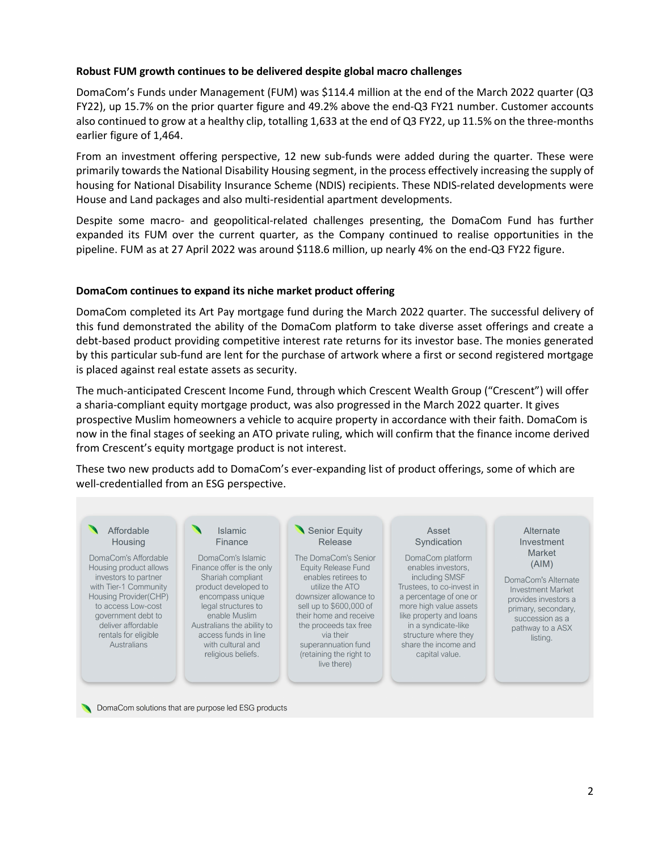#### **Robust FUM growth continues to be delivered despite global macro challenges**

DomaCom's Funds under Management (FUM) was \$114.4 million at the end of the March 2022 quarter (Q3 FY22), up 15.7% on the prior quarter figure and 49.2% above the end-Q3 FY21 number. Customer accounts also continued to grow at a healthy clip, totalling 1,633 at the end of Q3 FY22, up 11.5% on the three-months earlier figure of 1,464.

From an investment offering perspective, 12 new sub-funds were added during the quarter. These were primarily towards the National Disability Housing segment, in the process effectively increasing the supply of housing for National Disability Insurance Scheme (NDIS) recipients. These NDIS-related developments were House and Land packages and also multi-residential apartment developments.

Despite some macro- and geopolitical-related challenges presenting, the DomaCom Fund has further expanded its FUM over the current quarter, as the Company continued to realise opportunities in the pipeline. FUM as at 27 April 2022 was around \$118.6 million, up nearly 4% on the end-Q3 FY22 figure.

#### **DomaCom continues to expand its niche market product offering**

DomaCom completed its Art Pay mortgage fund during the March 2022 quarter. The successful delivery of this fund demonstrated the ability of the DomaCom platform to take diverse asset offerings and create a debt-based product providing competitive interest rate returns for its investor base. The monies generated by this particular sub-fund are lent for the purchase of artwork where a first or second registered mortgage is placed against real estate assets as security.

The much-anticipated Crescent Income Fund, through which Crescent Wealth Group ("Crescent") will offer a sharia-compliant equity mortgage product, was also progressed in the March 2022 quarter. It gives prospective Muslim homeowners a vehicle to acquire property in accordance with their faith. DomaCom is now in the final stages of seeking an ATO private ruling, which will confirm that the finance income derived from Crescent's equity mortgage product is not interest.

These two new products add to DomaCom's ever-expanding list of product offerings, some of which are well-credentialled from an ESG perspective.



DomaCom solutions that are purpose led ESG products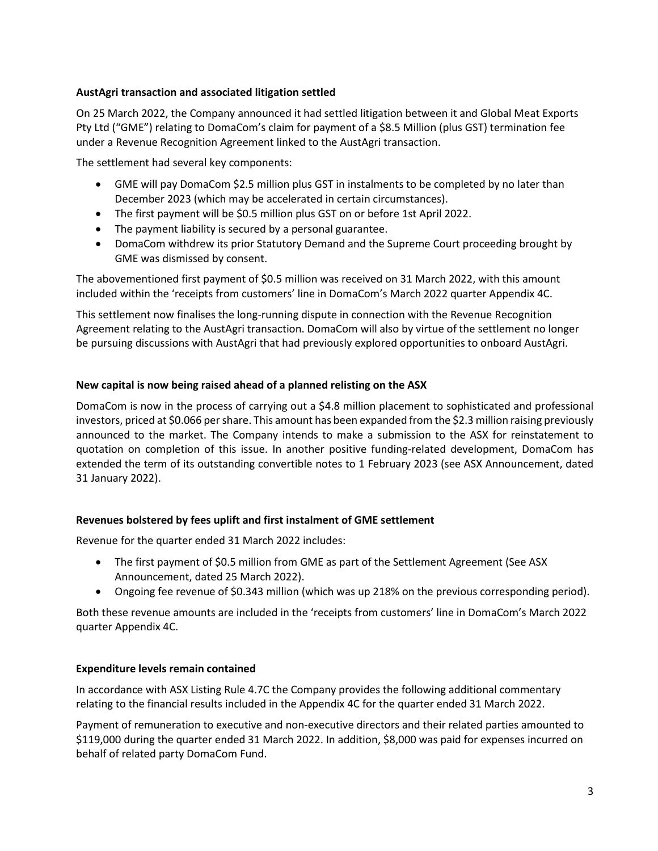## **AustAgri transaction and associated litigation settled**

On 25 March 2022, the Company announced it had settled litigation between it and Global Meat Exports Pty Ltd ("GME") relating to DomaCom's claim for payment of a \$8.5 Million (plus GST) termination fee under a Revenue Recognition Agreement linked to the AustAgri transaction.

The settlement had several key components:

- GME will pay DomaCom \$2.5 million plus GST in instalments to be completed by no later than December 2023 (which may be accelerated in certain circumstances).
- The first payment will be \$0.5 million plus GST on or before 1st April 2022.
- The payment liability is secured by a personal guarantee.
- DomaCom withdrew its prior Statutory Demand and the Supreme Court proceeding brought by GME was dismissed by consent.

The abovementioned first payment of \$0.5 million was received on 31 March 2022, with this amount included within the 'receipts from customers' line in DomaCom's March 2022 quarter Appendix 4C.

This settlement now finalises the long-running dispute in connection with the Revenue Recognition Agreement relating to the AustAgri transaction. DomaCom will also by virtue of the settlement no longer be pursuing discussions with AustAgri that had previously explored opportunities to onboard AustAgri.

## **New capital is now being raised ahead of a planned relisting on the ASX**

DomaCom is now in the process of carrying out a \$4.8 million placement to sophisticated and professional investors, priced at \$0.066 per share. This amount has been expanded from the \$2.3 million raising previously announced to the market. The Company intends to make a submission to the ASX for reinstatement to quotation on completion of this issue. In another positive funding-related development, DomaCom has extended the term of its outstanding convertible notes to 1 February 2023 (see ASX Announcement, dated 31 January 2022).

## **Revenues bolstered by fees uplift and first instalment of GME settlement**

Revenue for the quarter ended 31 March 2022 includes:

- The first payment of \$0.5 million from GME as part of the Settlement Agreement (See ASX Announcement, dated 25 March 2022).
- Ongoing fee revenue of \$0.343 million (which was up 218% on the previous corresponding period).

Both these revenue amounts are included in the 'receipts from customers' line in DomaCom's March 2022 quarter Appendix 4C.

## **Expenditure levels remain contained**

In accordance with ASX Listing Rule 4.7C the Company provides the following additional commentary relating to the financial results included in the Appendix 4C for the quarter ended 31 March 2022.

Payment of remuneration to executive and non-executive directors and their related parties amounted to \$119,000 during the quarter ended 31 March 2022. In addition, \$8,000 was paid for expenses incurred on behalf of related party DomaCom Fund.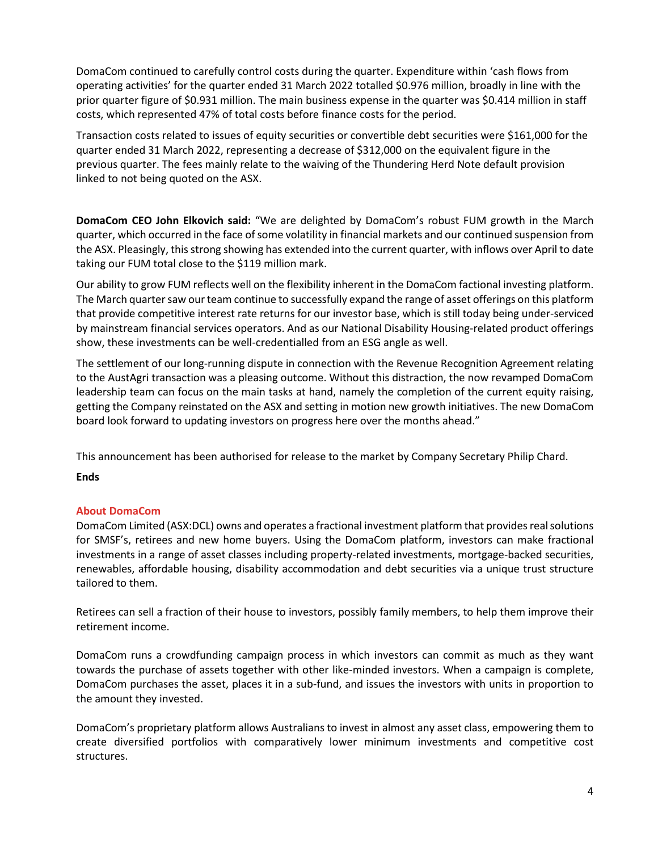DomaCom continued to carefully control costs during the quarter. Expenditure within 'cash flows from operating activities' for the quarter ended 31 March 2022 totalled \$0.976 million, broadly in line with the prior quarter figure of \$0.931 million. The main business expense in the quarter was \$0.414 million in staff costs, which represented 47% of total costs before finance costs for the period.

Transaction costs related to issues of equity securities or convertible debt securities were \$161,000 for the quarter ended 31 March 2022, representing a decrease of \$312,000 on the equivalent figure in the previous quarter. The fees mainly relate to the waiving of the Thundering Herd Note default provision linked to not being quoted on the ASX.

**DomaCom CEO John Elkovich said:** "We are delighted by DomaCom's robust FUM growth in the March quarter, which occurred in the face of some volatility in financial markets and our continued suspension from the ASX. Pleasingly, this strong showing has extended into the current quarter, with inflows over April to date taking our FUM total close to the \$119 million mark.

Our ability to grow FUM reflects well on the flexibility inherent in the DomaCom factional investing platform. The March quarter saw our team continue to successfully expand the range of asset offerings on this platform that provide competitive interest rate returns for our investor base, which is still today being under-serviced by mainstream financial services operators. And as our National Disability Housing-related product offerings show, these investments can be well-credentialled from an ESG angle as well.

The settlement of our long-running dispute in connection with the Revenue Recognition Agreement relating to the AustAgri transaction was a pleasing outcome. Without this distraction, the now revamped DomaCom leadership team can focus on the main tasks at hand, namely the completion of the current equity raising, getting the Company reinstated on the ASX and setting in motion new growth initiatives. The new DomaCom board look forward to updating investors on progress here over the months ahead."

This announcement has been authorised for release to the market by Company Secretary Philip Chard.

## **Ends**

## **About DomaCom**

DomaCom Limited (ASX:DCL) owns and operates a fractional investment platform that provides real solutions for SMSF's, retirees and new home buyers. Using the DomaCom platform, investors can make fractional investments in a range of asset classes including property-related investments, mortgage-backed securities, renewables, affordable housing, disability accommodation and debt securities via a unique trust structure tailored to them.

Retirees can sell a fraction of their house to investors, possibly family members, to help them improve their retirement income.

DomaCom runs a crowdfunding campaign process in which investors can commit as much as they want towards the purchase of assets together with other like-minded investors. When a campaign is complete, DomaCom purchases the asset, places it in a sub-fund, and issues the investors with units in proportion to the amount they invested.

DomaCom's proprietary platform allows Australians to invest in almost any asset class, empowering them to create diversified portfolios with comparatively lower minimum investments and competitive cost structures.